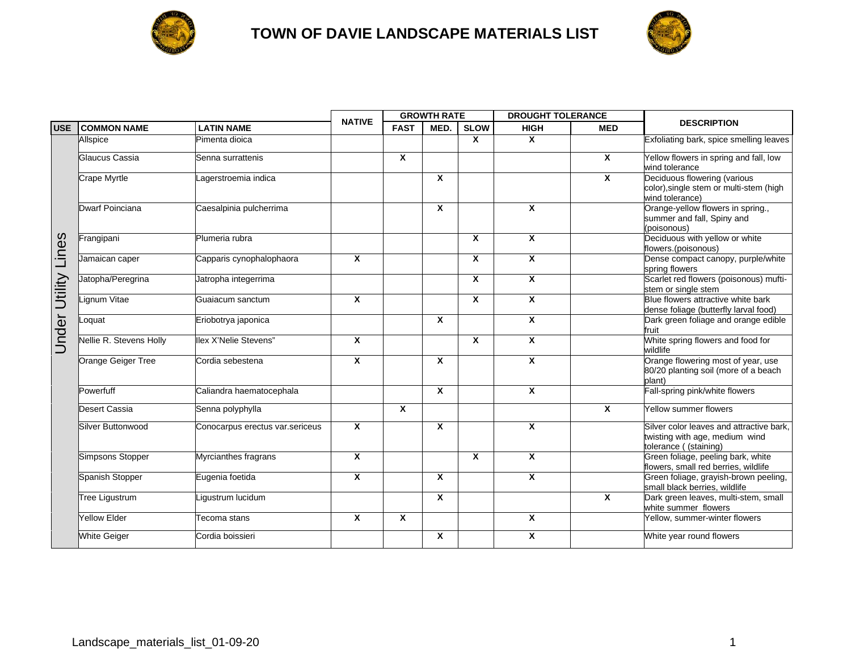



|               |                         |                                 | <b>NATIVE</b>           | <b>GROWTH RATE</b>      |                         |              | <b>DROUGHT TOLERANCE</b> |                         |                                                                                                     |
|---------------|-------------------------|---------------------------------|-------------------------|-------------------------|-------------------------|--------------|--------------------------|-------------------------|-----------------------------------------------------------------------------------------------------|
| <b>USE</b>    | <b>COMMON NAME</b>      | <b>LATIN NAME</b>               |                         | <b>FAST</b>             | MED.                    | <b>SLOW</b>  | <b>HIGH</b>              | <b>MED</b>              | <b>DESCRIPTION</b>                                                                                  |
|               | Allspice                | Pimenta dioica                  |                         |                         |                         | $\mathbf{x}$ | X                        |                         | Exfoliating bark, spice smelling leaves                                                             |
|               | Glaucus Cassia          | Senna surrattenis               |                         | $\mathbf{x}$            |                         |              |                          | X                       | Yellow flowers in spring and fall, low<br>wind tolerance                                            |
|               | <b>Crape Myrtle</b>     | Lagerstroemia indica            |                         |                         | X                       |              |                          | X                       | Deciduous flowering (various<br>color), single stem or multi-stem (high<br>wind tolerance)          |
|               | Dwarf Poinciana         | Caesalpinia pulcherrima         |                         |                         | X                       |              | X                        |                         | Orange-yellow flowers in spring.,<br>summer and fall, Spiny and<br>(poisonous)                      |
| Utility Lines | Frangipani              | Plumeria rubra                  |                         |                         |                         | $\mathbf{x}$ | X                        |                         | Deciduous with yellow or white<br>flowers.(poisonous)                                               |
|               | Jamaican caper          | Capparis cynophalophaora        | $\mathbf{x}$            |                         |                         | $\mathbf{x}$ | X                        |                         | Dense compact canopy, purple/white<br>spring flowers                                                |
|               | Jatopha/Peregrina       | Jatropha integerrima            |                         |                         |                         | $\mathsf{x}$ | $\overline{\mathbf{x}}$  |                         | Scarlet red flowers (poisonous) mufti-<br>stem or single stem                                       |
|               | Lignum Vitae            | Guaiacum sanctum                | $\mathbf{x}$            |                         |                         | $\mathbf{x}$ | $\overline{\mathbf{x}}$  |                         | Blue flowers attractive white bark<br>dense foliage (butterfly larval food)                         |
| Under         | Loquat                  | Eriobotrya japonica             |                         |                         | X                       |              | $\overline{\mathbf{x}}$  |                         | Dark green foliage and orange edible<br>fruit                                                       |
|               | Nellie R. Stevens Holly | llex X'Nelie Stevens"           | $\overline{\mathbf{x}}$ |                         |                         | X            | X                        |                         | White spring flowers and food for<br>wildlife                                                       |
|               | Orange Geiger Tree      | Cordia sebestena                | $\mathbf{x}$            |                         | X                       |              | $\overline{\mathbf{x}}$  |                         | Orange flowering most of year, use<br>80/20 planting soil (more of a beach<br>plant)                |
|               | Powerfuff               | Caliandra haematocephala        |                         |                         | X                       |              | $\mathsf{x}$             |                         | Fall-spring pink/white flowers                                                                      |
|               | Desert Cassia           | Senna polyphylla                |                         | $\overline{\mathbf{x}}$ |                         |              |                          | $\overline{\mathbf{x}}$ | Yellow summer flowers                                                                               |
|               | Silver Buttonwood       | Conocarpus erectus var.sericeus | X                       |                         | X                       |              | X                        |                         | Silver color leaves and attractive bark,<br>twisting with age, medium wind<br>tolerance ((staining) |
|               | Simpsons Stopper        | Myrcianthes fragrans            | $\mathsf{x}$            |                         |                         | $\mathbf{x}$ | X                        |                         | Green foliage, peeling bark, white<br>flowers, small red berries, wildlife                          |
|               | Spanish Stopper         | Eugenia foetida                 | $\overline{\mathbf{x}}$ |                         | $\overline{\mathbf{x}}$ |              | $\overline{\mathbf{x}}$  |                         | Green foliage, grayish-brown peeling,<br>small black berries, wildlife                              |
|               | <b>Tree Ligustrum</b>   | igustrum lucidum                |                         |                         | X                       |              |                          | Χ                       | Dark green leaves, multi-stem, small<br>white summer flowers                                        |
|               | <b>Yellow Elder</b>     | Tecoma stans                    | $\overline{\mathbf{x}}$ | $\overline{\mathbf{x}}$ |                         |              | $\overline{\mathbf{x}}$  |                         | Yellow, summer-winter flowers                                                                       |
|               | <b>White Geiger</b>     | Cordia boissieri                |                         |                         | X                       |              | X                        |                         | White year round flowers                                                                            |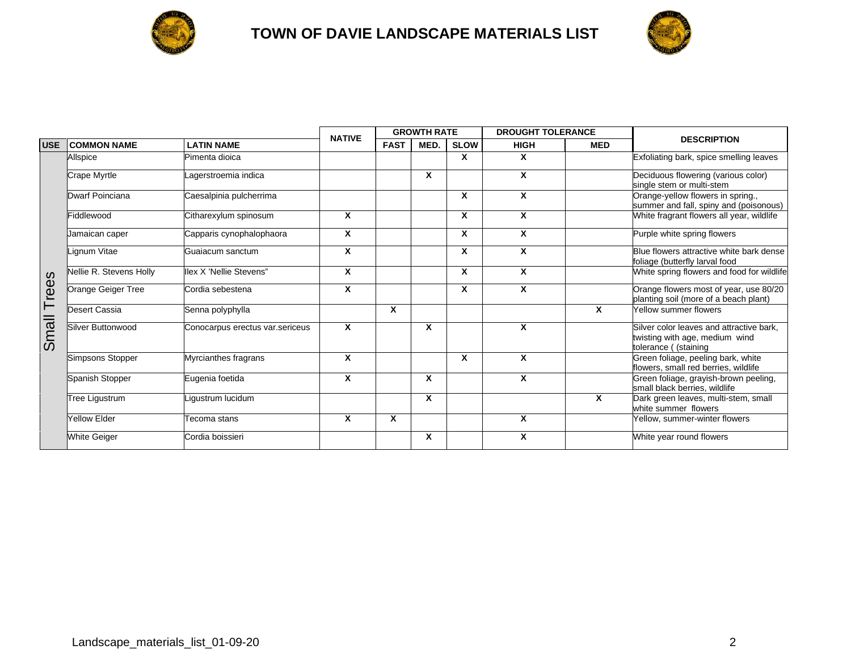



|            |                         |                                 |               | <b>GROWTH RATE</b> |      |                           | <b>DROUGHT TOLERANCE</b> |            |                                                                                                    |
|------------|-------------------------|---------------------------------|---------------|--------------------|------|---------------------------|--------------------------|------------|----------------------------------------------------------------------------------------------------|
| <b>USE</b> | <b>COMMON NAME</b>      | <b>LATIN NAME</b>               | <b>NATIVE</b> | <b>FAST</b>        | MED. | <b>SLOW</b>               | <b>HIGH</b>              | <b>MED</b> | <b>DESCRIPTION</b>                                                                                 |
|            | Allspice                | Pimenta dioica                  |               |                    |      | X                         | X                        |            | Exfoliating bark, spice smelling leaves                                                            |
|            | Crape Myrtle            | Lagerstroemia indica            |               |                    | X    |                           | X                        |            | Deciduous flowering (various color)<br>single stem or multi-stem                                   |
|            | Dwarf Poinciana         | Caesalpinia pulcherrima         |               |                    |      | $\boldsymbol{\mathsf{x}}$ | X                        |            | Orange-yellow flowers in spring.,<br>summer and fall, spiny and (poisonous)                        |
|            | Fiddlewood              | Citharexylum spinosum           | X             |                    |      | $\boldsymbol{\mathsf{x}}$ | X                        |            | White fragrant flowers all year, wildlife                                                          |
|            | Jamaican caper          | Capparis cynophalophaora        | X             |                    |      | $\boldsymbol{x}$          | X                        |            | Purple white spring flowers                                                                        |
|            | Lignum Vitae            | Guaiacum sanctum                | X             |                    |      | $\boldsymbol{x}$          | X                        |            | Blue flowers attractive white bark dense<br>foliage (butterfly larval food                         |
|            | Nellie R. Stevens Holly | lex X 'Nellie Stevens"          | X             |                    |      | $\boldsymbol{x}$          | X                        |            | White spring flowers and food for wildlife                                                         |
| Trees      | Orange Geiger Tree      | Cordia sebestena                | X             |                    |      | $\boldsymbol{\mathsf{x}}$ | X                        |            | Orange flowers most of year, use 80/20<br>planting soil (more of a beach plant)                    |
|            | Desert Cassia           | Senna polyphylla                |               | X                  |      |                           |                          | X          | Yellow summer flowers                                                                              |
| Small      | Silver Buttonwood       | Conocarpus erectus var.sericeus | X             |                    | X    |                           | X                        |            | Silver color leaves and attractive bark.<br>twisting with age, medium wind<br>tolerance ((staining |
|            | Simpsons Stopper        | Myrcianthes fragrans            | X             |                    |      | $\boldsymbol{\mathsf{x}}$ | X                        |            | Green foliage, peeling bark, white<br>flowers, small red berries, wildlife                         |
|            | Spanish Stopper         | Eugenia foetida                 | X             |                    | X    |                           | X                        |            | Green foliage, grayish-brown peeling,<br>small black berries, wildlife                             |
|            | <b>Tree Ligustrum</b>   | igustrum lucidum                |               |                    | X    |                           |                          | X          | Dark green leaves, multi-stem, small<br>white summer flowers                                       |
|            | <b>Yellow Elder</b>     | ecoma stans                     | X             | X                  |      |                           | X                        |            | Yellow, summer-winter flowers                                                                      |
|            | <b>White Geiger</b>     | Cordia boissieri                |               |                    | X    |                           | X                        |            | White year round flowers                                                                           |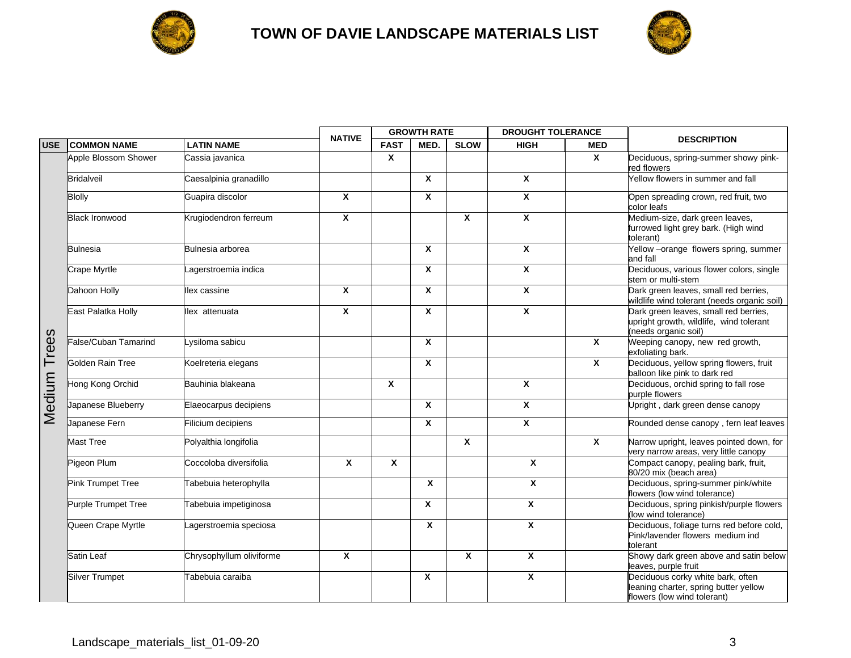



|              |                          |                          | <b>NATIVE</b> | <b>GROWTH RATE</b> |                  |              | <b>DROUGHT TOLERANCE</b>  |                           |                                                                                                           |
|--------------|--------------------------|--------------------------|---------------|--------------------|------------------|--------------|---------------------------|---------------------------|-----------------------------------------------------------------------------------------------------------|
| <b>USE</b>   | <b>ICOMMON NAME</b>      | <b>LATIN NAME</b>        |               | <b>FAST</b>        | MED.             | <b>SLOW</b>  | <b>HIGH</b>               | <b>MED</b>                | <b>DESCRIPTION</b>                                                                                        |
|              | Apple Blossom Shower     | Cassia javanica          |               | $\mathsf{x}$       |                  |              |                           | $\boldsymbol{\mathsf{x}}$ | Deciduous, spring-summer showy pink-<br>red flowers                                                       |
|              | Bridalveil               | Caesalpinia granadillo   |               |                    | X                |              | $\boldsymbol{x}$          |                           | Yellow flowers in summer and fall                                                                         |
|              | Blolly                   | Guapira discolor         | $\pmb{\chi}$  |                    | $\boldsymbol{x}$ |              | $\boldsymbol{x}$          |                           | Open spreading crown, red fruit, two<br>color leafs                                                       |
|              | <b>Black Ironwood</b>    | Krugiodendron ferreum    | X             |                    |                  | $\mathbf{x}$ | $\overline{\mathbf{x}}$   |                           | Medium-size, dark green leaves,<br>furrowed light grey bark. (High wind<br>tolerant)                      |
|              | Bulnesia                 | Bulnesia arborea         |               |                    | $\boldsymbol{x}$ |              | $\boldsymbol{\mathsf{x}}$ |                           | Yellow-orange flowers spring, summer<br>and fall                                                          |
|              | <b>Crape Myrtle</b>      | agerstroemia indica      |               |                    | X                |              | $\boldsymbol{\mathsf{X}}$ |                           | Deciduous, various flower colors, single<br>stem or multi-stem                                            |
|              | Dahoon Holly             | lex cassine              | X             |                    | X                |              | $\boldsymbol{\mathsf{x}}$ |                           | Dark green leaves, small red berries,<br>wildlife wind tolerant (needs organic soil)                      |
|              | East Palatka Holly       | lex attenuata            | X             |                    | X                |              | $\mathsf{x}$              |                           | Dark green leaves, small red berries,<br>upright growth, wildlife, wind tolerant<br>(needs organic soil)  |
| <b>Trees</b> | False/Cuban Tamarind     | Lysiloma sabicu          |               |                    | X                |              |                           | $\mathbf{x}$              | Weeping canopy, new red growth,<br>exfoliating bark.                                                      |
|              | Golden Rain Tree         | Koelreteria elegans      |               |                    | X                |              |                           | $\boldsymbol{\mathsf{x}}$ | Deciduous, yellow spring flowers, fruit<br>balloon like pink to dark red                                  |
| Medium       | Hong Kong Orchid         | Bauhinia blakeana        |               | X                  |                  |              | $\boldsymbol{x}$          |                           | Deciduous, orchid spring to fall rose<br>purple flowers                                                   |
|              | Japanese Blueberry       | Elaeocarpus decipiens    |               |                    | X                |              | $\boldsymbol{x}$          |                           | Upright, dark green dense canopy                                                                          |
|              | Japanese Fern            | Filicium decipiens       |               |                    | X                |              | $\pmb{\chi}$              |                           | Rounded dense canopy, fern leaf leaves                                                                    |
|              | <b>Mast Tree</b>         | Polyalthia longifolia    |               |                    |                  | $\mathsf{x}$ |                           | $\boldsymbol{\mathsf{x}}$ | Narrow upright, leaves pointed down, for<br>very narrow areas, very little canopy                         |
|              | Pigeon Plum              | Coccoloba diversifolia   | $\mathbf{x}$  | $\mathbf{x}$       |                  |              | $\mathsf{x}$              |                           | Compact canopy, pealing bark, fruit,<br>80/20 mix (beach area)                                            |
|              | <b>Pink Trumpet Tree</b> | Tabebuia heterophylla    |               |                    | X                |              | X                         |                           | Deciduous, spring-summer pink/white<br>flowers (low wind tolerance)                                       |
|              | Purple Trumpet Tree      | Tabebuia impetiginosa    |               |                    | X                |              | $\overline{\mathbf{x}}$   |                           | Deciduous, spring pinkish/purple flowers<br>(low wind tolerance)                                          |
|              | Queen Crape Myrtle       | agerstroemia speciosa    |               |                    | X                |              | $\pmb{\chi}$              |                           | Deciduous, foliage turns red before cold,<br>Pink/lavender flowers medium ind<br>tolerant                 |
|              | Satin Leaf               | Chrysophyllum oliviforme | X             |                    |                  | X            | $\overline{\mathbf{x}}$   |                           | Showy dark green above and satin below<br>leaves, purple fruit                                            |
|              | Silver Trumpet           | Tabebuia caraiba         |               |                    | $\boldsymbol{x}$ |              | X                         |                           | Deciduous corky white bark, often<br>leaning charter, spring butter yellow<br>flowers (low wind tolerant) |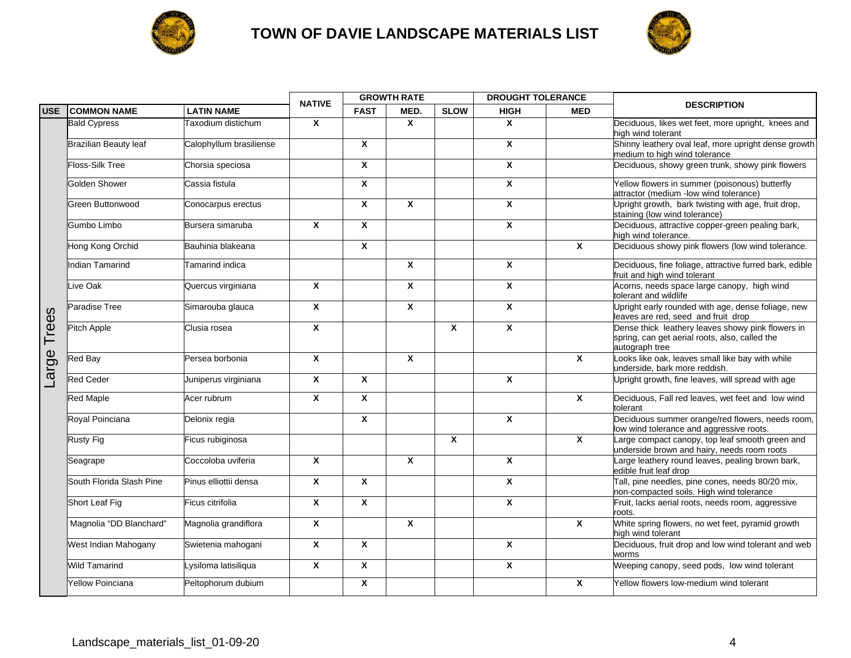



|              |                          |                         | <b>NATIVE</b>             | <b>GROWTH RATE</b> |                           |             | <b>DROUGHT TOLERANCE</b>  |                           | <b>DESCRIPTION</b>                                                                                                    |
|--------------|--------------------------|-------------------------|---------------------------|--------------------|---------------------------|-------------|---------------------------|---------------------------|-----------------------------------------------------------------------------------------------------------------------|
| <b>USE</b>   | <b>COMMON NAME</b>       | <b>LATIN NAME</b>       |                           | <b>FAST</b>        | MED.                      | <b>SLOW</b> | <b>HIGH</b>               | <b>MED</b>                |                                                                                                                       |
|              | <b>Bald Cypress</b>      | Taxodium distichum      | $\boldsymbol{x}$          |                    | $\mathbf{x}$              |             | X                         |                           | Deciduous, likes wet feet, more upright, knees and<br>high wind tolerant                                              |
|              | Brazilian Beauty leaf    | Calophyllum brasiliense |                           | $\mathbf{x}$       |                           |             | $\mathbf{x}$              |                           | Shinny leathery oval leaf, more upright dense growth<br>medium to high wind tolerance                                 |
|              | Floss-Silk Tree          | Chorsia speciosa        |                           | X                  |                           |             | $\mathsf{x}$              |                           | Deciduous, showy green trunk, showy pink flowers                                                                      |
|              | <b>Golden Shower</b>     | Cassia fistula          |                           | X                  |                           |             | X                         |                           | Yellow flowers in summer (poisonous) butterfly<br>attractor (medium -low wind tolerance)                              |
|              | Green Buttonwood         | Conocarpus erectus      |                           | X                  | $\mathbf{x}$              |             | $\mathsf{x}$              |                           | Upright growth, bark twisting with age, fruit drop,<br>staining (low wind tolerance)                                  |
|              | Gumbo Limbo              | Bursera simaruba        | $\mathbf{x}$              | X                  |                           |             | $\mathbf{x}$              |                           | Deciduous, attractive copper-green pealing bark,<br>high wind tolerance.                                              |
|              | Hong Kong Orchid         | Bauhinia blakeana       |                           | X                  |                           |             |                           | $\mathsf{x}$              | Deciduous showy pink flowers (low wind tolerance.                                                                     |
|              | Indian Tamarind          | <b>Tamarind indica</b>  |                           |                    | $\boldsymbol{\mathsf{x}}$ |             | $\boldsymbol{\mathsf{x}}$ |                           | Deciduous, fine foliage, attractive furred bark, edible<br>fruit and high wind tolerant                               |
|              | Live Oak                 | Quercus virginiana      | $\mathsf{x}$              |                    | $\mathbf{x}$              |             | $\mathsf{x}$              |                           | Acorns, needs space large canopy, high wind<br>tolerant and wildlife                                                  |
|              | Paradise Tree            | Simarouba glauca        | $\mathsf{x}$              |                    | $\mathbf{x}$              |             | $\mathsf{x}$              |                           | Upright early rounded with age, dense foliage, new<br>leaves are red, seed and fruit drop                             |
| <b>Trees</b> | Pitch Apple              | Clusia rosea            | $\boldsymbol{\mathsf{x}}$ |                    |                           | X           | $\mathbf{x}$              |                           | Dense thick leathery leaves showy pink flowers in<br>spring, can get aerial roots, also, called the<br>autograph tree |
| arge         | <b>Red Bay</b>           | Persea borbonia         | $\pmb{\chi}$              |                    | $\boldsymbol{x}$          |             |                           | $\mathsf{x}$              | Looks like oak, leaves small like bay with while<br>underside, bark more reddish.                                     |
|              | <b>Red Ceder</b>         | Juniperus virginiana    | $\boldsymbol{\mathsf{x}}$ | X                  |                           |             | $\boldsymbol{\mathsf{x}}$ |                           | Upright growth, fine leaves, will spread with age                                                                     |
|              | Red Maple                | Acer rubrum             | $\mathsf{x}$              | X                  |                           |             |                           | $\mathsf{x}$              | Deciduous, Fall red leaves, wet feet and low wind<br>tolerant                                                         |
|              | Royal Poinciana          | Delonix regia           |                           | $\mathbf{x}$       |                           |             | $\overline{\mathbf{x}}$   |                           | Deciduous summer orange/red flowers, needs room,<br>low wind tolerance and aggressive roots.                          |
|              | Rusty Fig                | Ficus rubiginosa        |                           |                    |                           | X           |                           | $\pmb{\chi}$              | Large compact canopy, top leaf smooth green and<br>underside brown and hairy, needs room roots                        |
|              | Seagrape                 | Coccoloba uviferia      | $\boldsymbol{x}$          |                    | $\mathbf{x}$              |             | X                         |                           | Large leathery round leaves, pealing brown bark,<br>edible fruit leaf drop                                            |
|              | South Florida Slash Pine | Pinus elliottii densa   | $\boldsymbol{x}$          | X                  |                           |             | $\overline{\mathbf{x}}$   |                           | Tall, pine needles, pine cones, needs 80/20 mix,<br>non-compacted soils. High wind tolerance                          |
|              | Short Leaf Fig           | Ficus citrifolia        | $\mathsf{x}$              | $\mathbf{x}$       |                           |             | X                         |                           | Fruit, lacks aerial roots, needs room, aggressive<br>roots.                                                           |
|              | Magnolia "DD Blanchard"  | Magnolia grandiflora    | $\mathsf{x}$              |                    | $\mathbf{x}$              |             |                           | $\boldsymbol{\mathsf{x}}$ | White spring flowers, no wet feet, pyramid growth<br>high wind tolerant                                               |
|              | West Indian Mahogany     | Swietenia mahogani      | $\boldsymbol{\mathsf{x}}$ | X                  |                           |             | $\mathbf{x}$              |                           | Deciduous, fruit drop and low wind tolerant and web<br>worms                                                          |
|              | <b>Wild Tamarind</b>     | Lysiloma latisiliqua    | $\mathsf{x}$              | $\mathbf{x}$       |                           |             | $\overline{\mathbf{x}}$   |                           | Weeping canopy, seed pods, low wind tolerant                                                                          |
|              | <b>Yellow Poinciana</b>  | Peltophorum dubium      |                           | X                  |                           |             |                           | $\mathbf x$               | Yellow flowers low-medium wind tolerant                                                                               |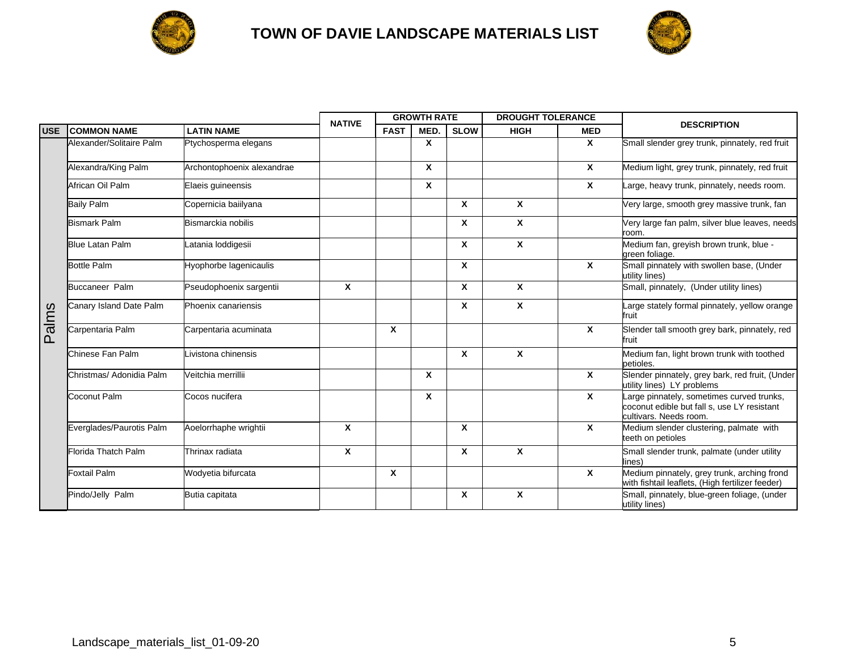



|            |                          | <b>NATIVE</b>              | <b>GROWTH RATE</b> |              |      | <b>DROUGHT TOLERANCE</b> |              |                           |                                                                                                                    |
|------------|--------------------------|----------------------------|--------------------|--------------|------|--------------------------|--------------|---------------------------|--------------------------------------------------------------------------------------------------------------------|
| <b>USE</b> | <b>COMMON NAME</b>       | <b>LATIN NAME</b>          |                    | <b>FAST</b>  | MED. | <b>SLOW</b>              | <b>HIGH</b>  | <b>MED</b>                | <b>DESCRIPTION</b>                                                                                                 |
|            | Alexander/Solitaire Palm | Ptychosperma elegans       |                    |              | X    |                          |              | $\mathbf{x}$              | Small slender grey trunk, pinnately, red fruit                                                                     |
|            | Alexandra/King Palm      | Archontophoenix alexandrae |                    |              | X    |                          |              | $\boldsymbol{\mathsf{x}}$ | Medium light, grey trunk, pinnately, red fruit                                                                     |
|            | African Oil Palm         | Elaeis guineensis          |                    |              | X    |                          |              | $\mathbf{x}$              | Large, heavy trunk, pinnately, needs room.                                                                         |
|            | <b>Baily Palm</b>        | Copernicia baiilyana       |                    |              |      | X                        | $\mathbf{x}$ |                           | Very large, smooth grey massive trunk, fan                                                                         |
|            | <b>Bismark Palm</b>      | Bismarckia nobilis         |                    |              |      | X                        | X            |                           | Very large fan palm, silver blue leaves, needs<br>room.                                                            |
|            | <b>Blue Latan Palm</b>   | Latania loddigesii         |                    |              |      | X                        | X            |                           | Medium fan, greyish brown trunk, blue -<br>green foliage.                                                          |
|            | <b>Bottle Palm</b>       | Hyophorbe lagenicaulis     |                    |              |      | X                        |              | $\mathbf{x}$              | Small pinnately with swollen base, (Under<br>utility lines)                                                        |
|            | <b>Buccaneer Palm</b>    | Pseudophoenix sargentii    | X                  |              |      | X                        | X            |                           | Small, pinnately, (Under utility lines)                                                                            |
|            | Canary Island Date Palm  | Phoenix canariensis        |                    |              |      | X                        | X            |                           | Large stately formal pinnately, yellow orange<br>fruit                                                             |
| Palms      | Carpentaria Palm         | Carpentaria acuminata      |                    | $\mathbf{x}$ |      |                          |              | $\mathbf{x}$              | Slender tall smooth grey bark, pinnately, red<br>fruit                                                             |
|            | Chinese Fan Palm         | Livistona chinensis        |                    |              |      | X                        | X            |                           | Medium fan, light brown trunk with toothed<br>petioles.                                                            |
|            | Christmas/ Adonidia Palm | Veitchia merrillii         |                    |              | X    |                          |              | $\mathsf{x}$              | Slender pinnately, grey bark, red fruit, (Under<br>utility lines) LY problems                                      |
|            | Coconut Palm             | Cocos nucifera             |                    |              | X    |                          |              | $\mathbf{x}$              | Large pinnately, sometimes curved trunks,<br>coconut edible but fall s, use LY resistant<br>cultivars. Needs room. |
|            | Everglades/Paurotis Palm | Aoelorrhaphe wrightii      | Χ                  |              |      | X                        |              | $\mathsf{x}$              | Medium slender clustering, palmate with<br>teeth on petioles                                                       |
|            | Florida Thatch Palm      | Thrinax radiata            | X                  |              |      | X                        | X            |                           | Small slender trunk, palmate (under utility<br>lines)                                                              |
|            | <b>Foxtail Palm</b>      | Wodyetia bifurcata         |                    | X            |      |                          |              | $\mathbf{x}$              | Medium pinnately, grey trunk, arching frond<br>with fishtail leaflets, (High fertilizer feeder)                    |
|            | Pindo/Jelly Palm         | Butia capitata             |                    |              |      | Χ                        | X            |                           | Small, pinnately, blue-green foliage, (under<br>utility lines)                                                     |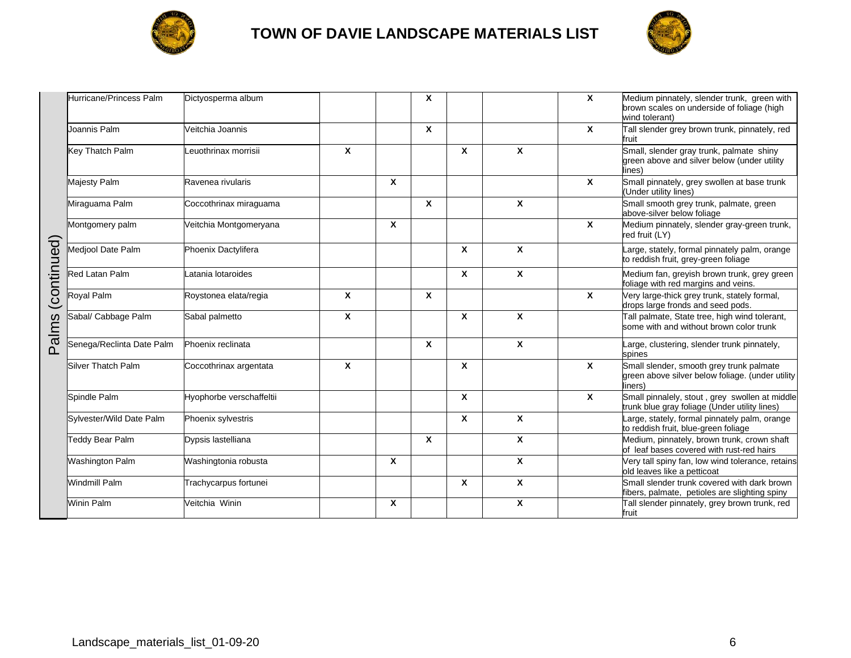



|             | Hurricane/Princess Palm   | Dictyosperma album       |   |              | $\mathbf{x}$ |   |   | X | Medium pinnately, slender trunk, green with<br>brown scales on underside of foliage (high<br>wind tolerant) |
|-------------|---------------------------|--------------------------|---|--------------|--------------|---|---|---|-------------------------------------------------------------------------------------------------------------|
|             | Joannis Palm              | Veitchia Joannis         |   |              | X            |   |   | X | Tall slender grey brown trunk, pinnately, red<br>fruit                                                      |
|             | Key Thatch Palm           | Leuothrinax morrisii     | X |              |              | X | X |   | Small, slender gray trunk, palmate shiny<br>green above and silver below (under utility<br>lines)           |
|             | Majesty Palm              | Ravenea rivularis        |   | $\mathbf{x}$ |              |   |   | X | Small pinnately, grey swollen at base trunk<br>Under utility lines)                                         |
|             | Miraguama Palm            | Coccothrinax miraguama   |   |              | X            |   | X |   | Small smooth grey trunk, palmate, green<br>above-silver below foliage                                       |
|             | Montgomery palm           | Veitchia Montgomeryana   |   | $\mathbf x$  |              |   |   | X | Medium pinnately, slender gray-green trunk,<br>red fruit (LY)                                               |
| (continued) | Mediool Date Palm         | Phoenix Dactylifera      |   |              |              | X | X |   | arge, stately, formal pinnately palm, orange<br>to reddish fruit, grey-green foliage                        |
|             | Red Latan Palm            | atania lotaroides        |   |              |              | X | X |   | Medium fan, greyish brown trunk, grey green<br>foliage with red margins and veins.                          |
| Palms       | Royal Palm                | Roystonea elata/regia    | X |              | $\mathbf{x}$ |   |   | X | Very large-thick grey trunk, stately formal,<br>drops large fronds and seed pods.                           |
|             | Sabal/ Cabbage Palm       | Sabal palmetto           | X |              |              | X | X |   | Tall palmate, State tree, high wind tolerant,<br>some with and without brown color trunk                    |
|             | Senega/Reclinta Date Palm | Phoenix reclinata        |   |              | X            |   | X |   | arge, clustering, slender trunk pinnately,<br>spines                                                        |
|             | Silver Thatch Palm        | Coccothrinax argentata   | X |              |              | X |   | X | Small slender, smooth grey trunk palmate<br>green above silver below foliage. (under utility<br>liners)     |
|             | Spindle Palm              | Hyophorbe verschaffeltii |   |              |              | X |   | X | Small pinnalely, stout, grey swollen at middle<br>trunk blue gray foliage (Under utility lines)             |
|             | Sylvester/Wild Date Palm  | Phoenix sylvestris       |   |              |              | X | X |   | arge, stately, formal pinnately palm, orange<br>to reddish fruit, blue-green foliage                        |
|             | Teddy Bear Palm           | Dypsis lastelliana       |   |              | X            |   | X |   | Medium, pinnately, brown trunk, crown shaft<br>of leaf bases covered with rust-red hairs                    |
|             | <b>Washington Palm</b>    | Washingtonia robusta     |   | $\mathbf{x}$ |              |   | X |   | Very tall spiny fan, low wind tolerance, retains<br>old leaves like a petticoat                             |
|             | <b>Windmill Palm</b>      | Trachycarpus fortunei    |   |              |              | X | X |   | Small slender trunk covered with dark brown<br>fibers, palmate, petioles are slighting spiny                |
|             | Winin Palm                | Veitchia Winin           |   | $\mathbf x$  |              |   | X |   | Tall slender pinnately, grey brown trunk, red<br>fruit                                                      |